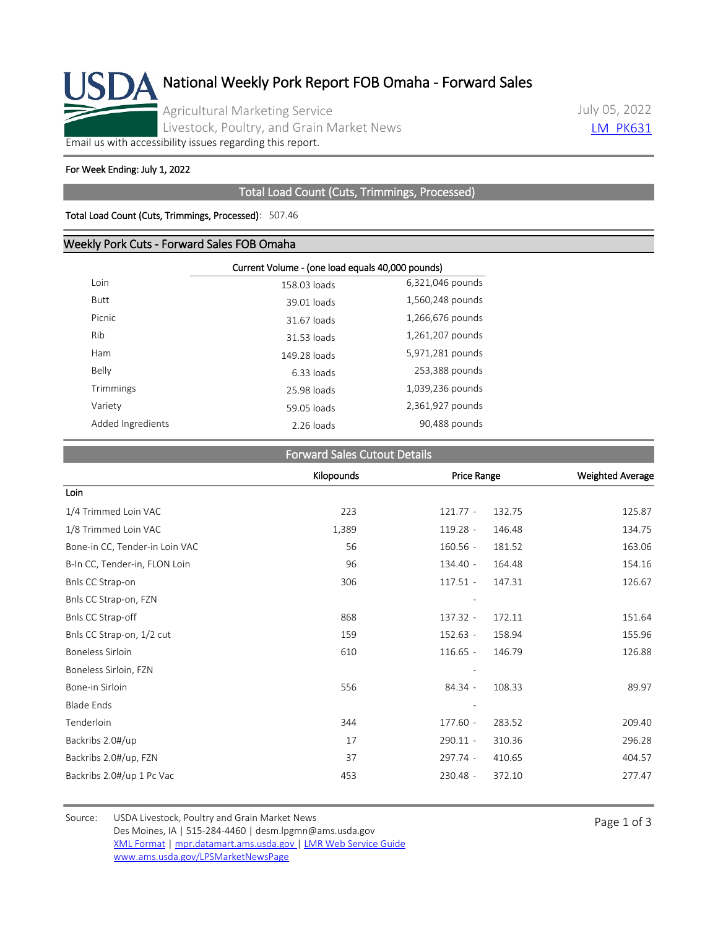

July 05, 2022 **LM PK631** 

[Email us with accessibility issues regarding this report.](mailto:mpr.lpgmn@ams.usda.gov?subject=508%20Issue)

#### For Week Ending: July 1, 2022

### Total Load Count (Cuts, Trimmings, Processed)

#### Total Load Count (Cuts, Trimmings, Processed): 507.46

## Weekly Pork Cuts - Forward Sales FOB Omaha

|                   | Current Volume - (one load equals 40,000 pounds) |                  |  |
|-------------------|--------------------------------------------------|------------------|--|
| Loin              | 158.03 loads                                     | 6,321,046 pounds |  |
| <b>Butt</b>       | 39.01 loads                                      | 1,560,248 pounds |  |
| Picnic            | 31.67 loads                                      | 1,266,676 pounds |  |
| Rib               | 31.53 loads                                      | 1,261,207 pounds |  |
| Ham               | 149.28 loads                                     | 5,971,281 pounds |  |
| Belly             | 6.33 loads                                       | 253,388 pounds   |  |
| Trimmings         | 25.98 loads                                      | 1,039,236 pounds |  |
| Variety           | 59.05 loads                                      | 2,361,927 pounds |  |
| Added Ingredients | 2.26 loads                                       | 90,488 pounds    |  |

## Forward Sales Cutout Details

|                                | Kilopounds | Price Range |        | <b>Weighted Average</b> |
|--------------------------------|------------|-------------|--------|-------------------------|
| Loin                           |            |             |        |                         |
| 1/4 Trimmed Loin VAC           | 223        | $121.77 -$  | 132.75 | 125.87                  |
| 1/8 Trimmed Loin VAC           | 1,389      | $119.28 -$  | 146.48 | 134.75                  |
| Bone-in CC, Tender-in Loin VAC | 56         | $160.56 -$  | 181.52 | 163.06                  |
| B-In CC, Tender-in, FLON Loin  | 96         | $134.40 -$  | 164.48 | 154.16                  |
| Bnls CC Strap-on               | 306        | $117.51 -$  | 147.31 | 126.67                  |
| Bnls CC Strap-on, FZN          |            |             |        |                         |
| Bnls CC Strap-off              | 868        | $137.32 -$  | 172.11 | 151.64                  |
| Bnls CC Strap-on, 1/2 cut      | 159        | $152.63 -$  | 158.94 | 155.96                  |
| Boneless Sirloin               | 610        | $116.65 -$  | 146.79 | 126.88                  |
| Boneless Sirloin, FZN          |            |             |        |                         |
| Bone-in Sirloin                | 556        | 84.34 -     | 108.33 | 89.97                   |
| <b>Blade Ends</b>              |            |             |        |                         |
| Tenderloin                     | 344        | $177.60 -$  | 283.52 | 209.40                  |
| Backribs 2.0#/up               | 17         | $290.11 -$  | 310.36 | 296.28                  |
| Backribs 2.0#/up, FZN          | 37         | 297.74 -    | 410.65 | 404.57                  |
| Backribs 2.0#/up 1 Pc Vac      | 453        | 230.48 -    | 372.10 | 277.47                  |

Source: USDA Livestock, Poultry and Grain Market News<br>
Page 1 of 3 Des Moines, IA | 515-284-4460 | desm.lpgmn@ams.usda.gov [XML Format](https://mpr.datamart.ams.usda.gov/ws/report/v1/pork/LM_PK631?filter=%7B%22filters%22:%5B%7B%22fieldName%22:%22Report%20date%22,%22operatorType%22:%22EQUAL%22,%22values%22:%5B%227/5/2022%22%5D%7D%5D%7D) | [mpr.datamart.ams.usda.gov](https://mpr.datamart.ams.usda.gov/) | [LMR Web Service Guide](https://www.marketnews.usda.gov/mnp/assets/ls/USDA-LMR-WebService-Client-User-Guide-v1_prod.pdf) [www.ams.usda.gov/LPSMarketNewsPage](https://www.ams.usda.gov/LPSMarketNewsPage)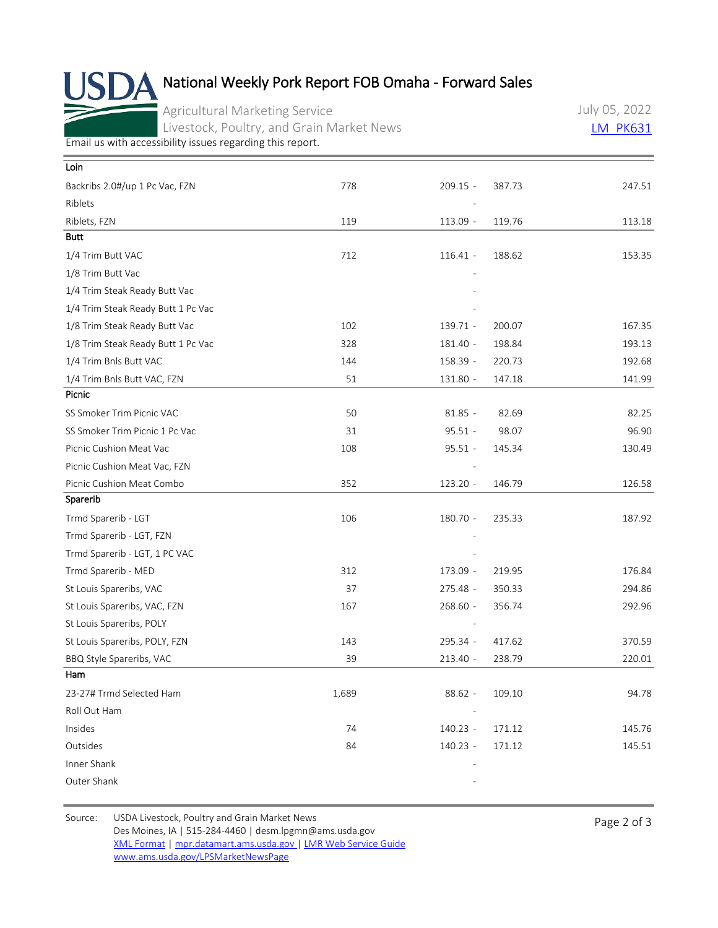## National Weekly Pork Report FOB Omaha - Forward Sales

Agricultural Marketing Service Livestock, Poultry, and Grain Market News July 05, 2022 [LM\\_PK631](https://mpr.datamart.ams.usda.gov/ws/report/v1/pork/LM_PK631?filter=%7B%22filters%22:%5B%7B%22fieldName%22:%22Report%20date%22,%22operatorType%22:%22EQUAL%22,%22values%22:%5B%227/5/2022%22%5D%7D%5D%7D)

[Email us with accessibility issues regarding this report.](mailto:mpr.lpgmn@ams.usda.gov?subject=508%20Issue)

| Loin                               |       |            |        |        |
|------------------------------------|-------|------------|--------|--------|
| Backribs 2.0#/up 1 Pc Vac, FZN     | 778   | $209.15 -$ | 387.73 | 247.51 |
| Riblets                            |       |            |        |        |
| Riblets, FZN                       | 119   | 113.09 -   | 119.76 | 113.18 |
| <b>Butt</b>                        |       |            |        |        |
| 1/4 Trim Butt VAC                  | 712   | $116.41 -$ | 188.62 | 153.35 |
| 1/8 Trim Butt Vac                  |       |            |        |        |
| 1/4 Trim Steak Ready Butt Vac      |       |            |        |        |
| 1/4 Trim Steak Ready Butt 1 Pc Vac |       |            |        |        |
| 1/8 Trim Steak Ready Butt Vac      | 102   | 139.71 -   | 200.07 | 167.35 |
| 1/8 Trim Steak Ready Butt 1 Pc Vac | 328   | 181.40 -   | 198.84 | 193.13 |
| 1/4 Trim Bnls Butt VAC             | 144   | 158.39 -   | 220.73 | 192.68 |
| 1/4 Trim Bnls Butt VAC, FZN        | 51    | 131.80 -   | 147.18 | 141.99 |
| Picnic                             |       |            |        |        |
| SS Smoker Trim Picnic VAC          | 50    | $81.85 -$  | 82.69  | 82.25  |
| SS Smoker Trim Picnic 1 Pc Vac     | 31    | $95.51 -$  | 98.07  | 96.90  |
| Picnic Cushion Meat Vac            | 108   | $95.51 -$  | 145.34 | 130.49 |
| Picnic Cushion Meat Vac, FZN       |       |            |        |        |
| Picnic Cushion Meat Combo          | 352   | 123.20 -   | 146.79 | 126.58 |
| Sparerib                           |       |            |        |        |
| Trmd Sparerib - LGT                | 106   | 180.70 -   | 235.33 | 187.92 |
| Trmd Sparerib - LGT, FZN           |       |            |        |        |
| Trmd Sparerib - LGT, 1 PC VAC      |       |            |        |        |
| Trmd Sparerib - MED                | 312   | 173.09 -   | 219.95 | 176.84 |
| St Louis Spareribs, VAC            | 37    | $275.48 -$ | 350.33 | 294.86 |
| St Louis Spareribs, VAC, FZN       | 167   | 268.60 -   | 356.74 | 292.96 |
| St Louis Spareribs, POLY           |       |            |        |        |
| St Louis Spareribs, POLY, FZN      | 143   | 295.34 -   | 417.62 | 370.59 |
| BBQ Style Spareribs, VAC           | 39    | $213.40 -$ | 238.79 | 220.01 |
| Ham                                |       |            |        |        |
| 23-27# Trmd Selected Ham           | 1,689 | $88.62 -$  | 109.10 | 94.78  |
| Roll Out Ham                       |       |            |        |        |
| Insides                            | 74    | 140.23 -   | 171.12 | 145.76 |
| Outsides                           | 84    | 140.23 -   | 171.12 | 145.51 |
| Inner Shank                        |       |            |        |        |
| Outer Shank                        |       |            |        |        |

Source: USDA Livestock, Poultry and Grain Market News<br>
Page 2 of 3 Des Moines, IA | 515-284-4460 | desm.lpgmn@ams.usda.gov [XML Format](https://mpr.datamart.ams.usda.gov/ws/report/v1/pork/LM_PK631?filter=%7B%22filters%22:%5B%7B%22fieldName%22:%22Report%20date%22,%22operatorType%22:%22EQUAL%22,%22values%22:%5B%227/5/2022%22%5D%7D%5D%7D) | [mpr.datamart.ams.usda.gov](https://mpr.datamart.ams.usda.gov/) | [LMR Web Service Guide](https://www.marketnews.usda.gov/mnp/assets/ls/USDA-LMR-WebService-Client-User-Guide-v1_prod.pdf) [www.ams.usda.gov/LPSMarketNewsPage](https://www.ams.usda.gov/LPSMarketNewsPage)